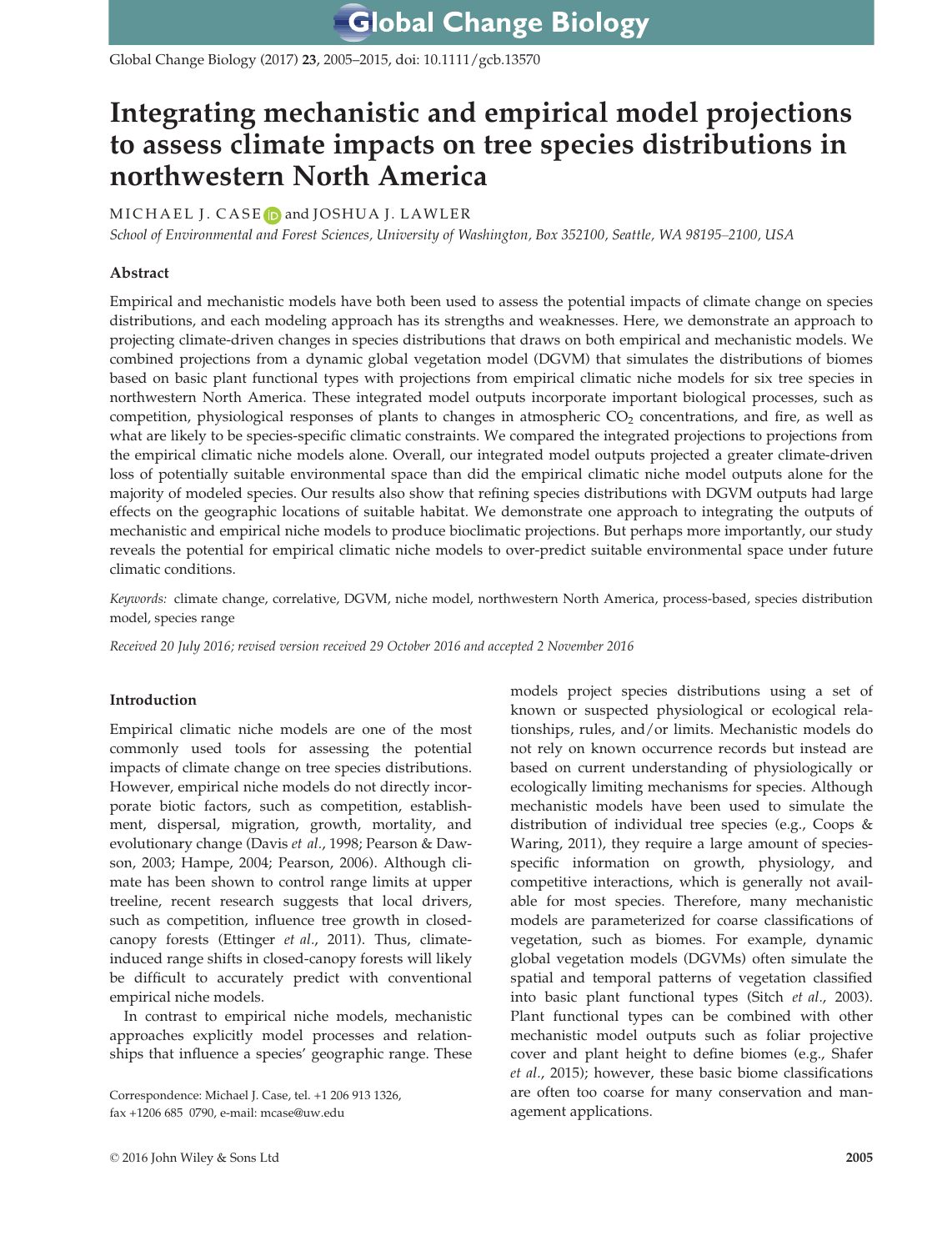Global Change Biology (2017) 23, 2005–2015, doi: 10.1111/gcb.13570

# Integrating mechanistic and empirical model projections to assess climate impacts on tree species distributions in northwestern North America

MICHAEL J. CASE **D** and JOSHUA J. LAWLER

School of Environmental and Forest Sciences, University of Washington, Box 352100, Seattle, WA 98195–2100, USA

## Abstract

Empirical and mechanistic models have both been used to assess the potential impacts of climate change on species distributions, and each modeling approach has its strengths and weaknesses. Here, we demonstrate an approach to projecting climate-driven changes in species distributions that draws on both empirical and mechanistic models. We combined projections from a dynamic global vegetation model (DGVM) that simulates the distributions of biomes based on basic plant functional types with projections from empirical climatic niche models for six tree species in northwestern North America. These integrated model outputs incorporate important biological processes, such as competition, physiological responses of plants to changes in atmospheric  $CO<sub>2</sub>$  concentrations, and fire, as well as what are likely to be species-specific climatic constraints. We compared the integrated projections to projections from the empirical climatic niche models alone. Overall, our integrated model outputs projected a greater climate-driven loss of potentially suitable environmental space than did the empirical climatic niche model outputs alone for the majority of modeled species. Our results also show that refining species distributions with DGVM outputs had large effects on the geographic locations of suitable habitat. We demonstrate one approach to integrating the outputs of mechanistic and empirical niche models to produce bioclimatic projections. But perhaps more importantly, our study reveals the potential for empirical climatic niche models to over-predict suitable environmental space under future climatic conditions.

Keywords: climate change, correlative, DGVM, niche model, northwestern North America, process-based, species distribution model, species range

Received 20 July 2016; revised version received 29 October 2016 and accepted 2 November 2016

## Introduction

Empirical climatic niche models are one of the most commonly used tools for assessing the potential impacts of climate change on tree species distributions. However, empirical niche models do not directly incorporate biotic factors, such as competition, establishment, dispersal, migration, growth, mortality, and evolutionary change (Davis et al., 1998; Pearson & Dawson, 2003; Hampe, 2004; Pearson, 2006). Although climate has been shown to control range limits at upper treeline, recent research suggests that local drivers, such as competition, influence tree growth in closedcanopy forests (Ettinger et al., 2011). Thus, climateinduced range shifts in closed-canopy forests will likely be difficult to accurately predict with conventional empirical niche models.

In contrast to empirical niche models, mechanistic approaches explicitly model processes and relationships that influence a species' geographic range. These

© 2016 John Wiley & Sons Ltd 2005

models project species distributions using a set of known or suspected physiological or ecological relationships, rules, and/or limits. Mechanistic models do not rely on known occurrence records but instead are based on current understanding of physiologically or ecologically limiting mechanisms for species. Although mechanistic models have been used to simulate the distribution of individual tree species (e.g., Coops & Waring, 2011), they require a large amount of speciesspecific information on growth, physiology, and competitive interactions, which is generally not available for most species. Therefore, many mechanistic models are parameterized for coarse classifications of vegetation, such as biomes. For example, dynamic global vegetation models (DGVMs) often simulate the spatial and temporal patterns of vegetation classified into basic plant functional types (Sitch et al., 2003). Plant functional types can be combined with other mechanistic model outputs such as foliar projective cover and plant height to define biomes (e.g., Shafer et al., 2015); however, these basic biome classifications are often too coarse for many conservation and management applications.

Correspondence: Michael J. Case, tel. +1 206 913 1326, fax +1206 685 0790, e-mail: mcase@uw.edu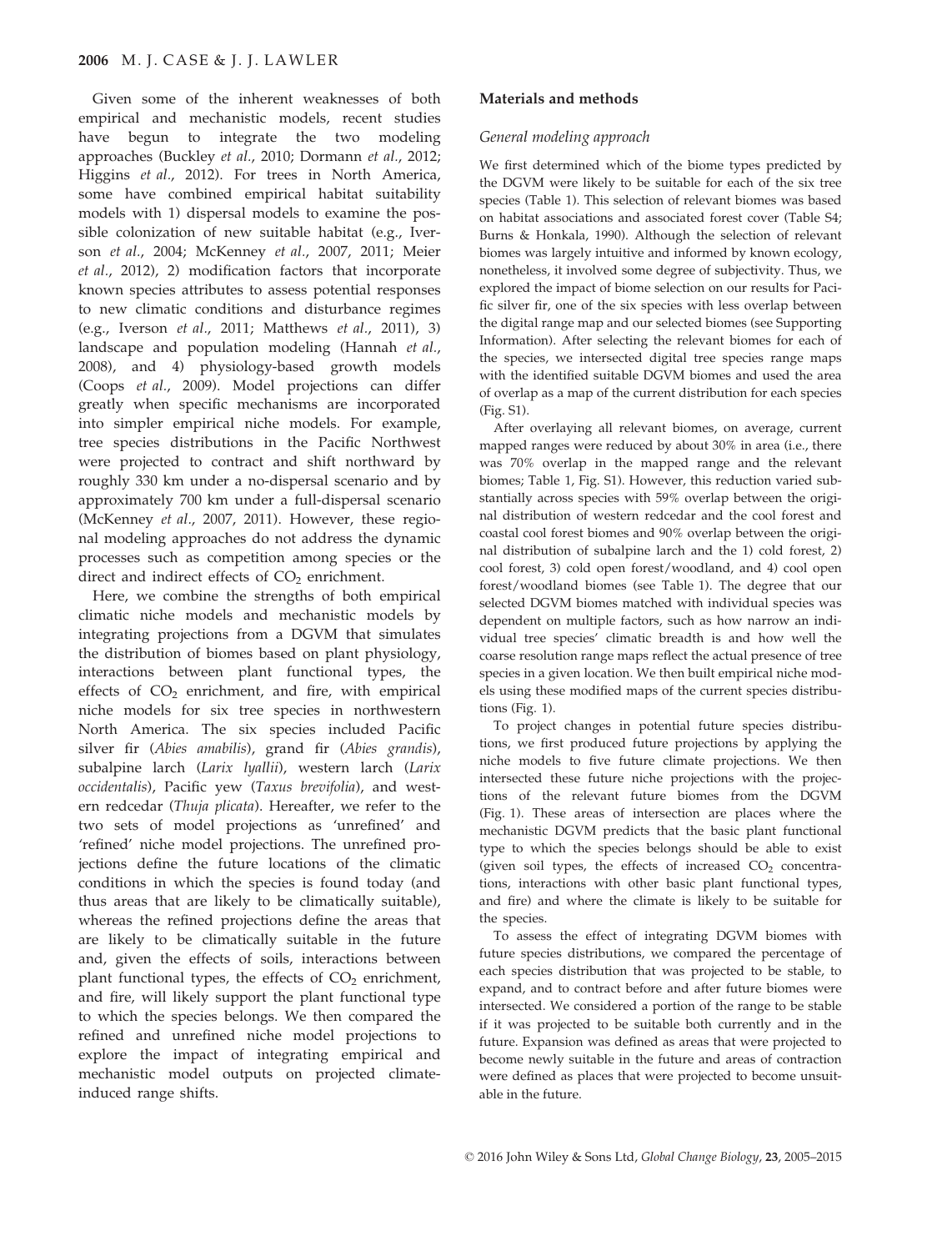Given some of the inherent weaknesses of both empirical and mechanistic models, recent studies have begun to integrate the two modeling approaches (Buckley et al., 2010; Dormann et al., 2012; Higgins et al., 2012). For trees in North America, some have combined empirical habitat suitability models with 1) dispersal models to examine the possible colonization of new suitable habitat (e.g., Iverson et al., 2004; McKenney et al., 2007, 2011; Meier et al., 2012), 2) modification factors that incorporate known species attributes to assess potential responses to new climatic conditions and disturbance regimes (e.g., Iverson et al., 2011; Matthews et al., 2011), 3) landscape and population modeling (Hannah et al., 2008), and 4) physiology-based growth models (Coops et al., 2009). Model projections can differ greatly when specific mechanisms are incorporated into simpler empirical niche models. For example, tree species distributions in the Pacific Northwest were projected to contract and shift northward by roughly 330 km under a no-dispersal scenario and by approximately 700 km under a full-dispersal scenario (McKenney et al., 2007, 2011). However, these regional modeling approaches do not address the dynamic processes such as competition among species or the direct and indirect effects of  $CO<sub>2</sub>$  enrichment.

Here, we combine the strengths of both empirical climatic niche models and mechanistic models by integrating projections from a DGVM that simulates the distribution of biomes based on plant physiology, interactions between plant functional types, the effects of  $CO<sub>2</sub>$  enrichment, and fire, with empirical niche models for six tree species in northwestern North America. The six species included Pacific silver fir (Abies amabilis), grand fir (Abies grandis), subalpine larch (Larix lyallii), western larch (Larix occidentalis), Pacific yew (Taxus brevifolia), and western redcedar (Thuja plicata). Hereafter, we refer to the two sets of model projections as 'unrefined' and 'refined' niche model projections. The unrefined projections define the future locations of the climatic conditions in which the species is found today (and thus areas that are likely to be climatically suitable), whereas the refined projections define the areas that are likely to be climatically suitable in the future and, given the effects of soils, interactions between plant functional types, the effects of  $CO<sub>2</sub>$  enrichment, and fire, will likely support the plant functional type to which the species belongs. We then compared the refined and unrefined niche model projections to explore the impact of integrating empirical and mechanistic model outputs on projected climateinduced range shifts.

#### Materials and methods

#### General modeling approach

We first determined which of the biome types predicted by the DGVM were likely to be suitable for each of the six tree species (Table 1). This selection of relevant biomes was based on habitat associations and associated forest cover (Table S4; Burns & Honkala, 1990). Although the selection of relevant biomes was largely intuitive and informed by known ecology, nonetheless, it involved some degree of subjectivity. Thus, we explored the impact of biome selection on our results for Pacific silver fir, one of the six species with less overlap between the digital range map and our selected biomes (see Supporting Information). After selecting the relevant biomes for each of the species, we intersected digital tree species range maps with the identified suitable DGVM biomes and used the area of overlap as a map of the current distribution for each species (Fig. S1).

After overlaying all relevant biomes, on average, current mapped ranges were reduced by about 30% in area (i.e., there was 70% overlap in the mapped range and the relevant biomes; Table 1, Fig. S1). However, this reduction varied substantially across species with 59% overlap between the original distribution of western redcedar and the cool forest and coastal cool forest biomes and 90% overlap between the original distribution of subalpine larch and the 1) cold forest, 2) cool forest, 3) cold open forest/woodland, and 4) cool open forest/woodland biomes (see Table 1). The degree that our selected DGVM biomes matched with individual species was dependent on multiple factors, such as how narrow an individual tree species' climatic breadth is and how well the coarse resolution range maps reflect the actual presence of tree species in a given location. We then built empirical niche models using these modified maps of the current species distributions (Fig. 1).

To project changes in potential future species distributions, we first produced future projections by applying the niche models to five future climate projections. We then intersected these future niche projections with the projections of the relevant future biomes from the DGVM (Fig. 1). These areas of intersection are places where the mechanistic DGVM predicts that the basic plant functional type to which the species belongs should be able to exist (given soil types, the effects of increased  $CO<sub>2</sub>$  concentrations, interactions with other basic plant functional types, and fire) and where the climate is likely to be suitable for the species.

To assess the effect of integrating DGVM biomes with future species distributions, we compared the percentage of each species distribution that was projected to be stable, to expand, and to contract before and after future biomes were intersected. We considered a portion of the range to be stable if it was projected to be suitable both currently and in the future. Expansion was defined as areas that were projected to become newly suitable in the future and areas of contraction were defined as places that were projected to become unsuitable in the future.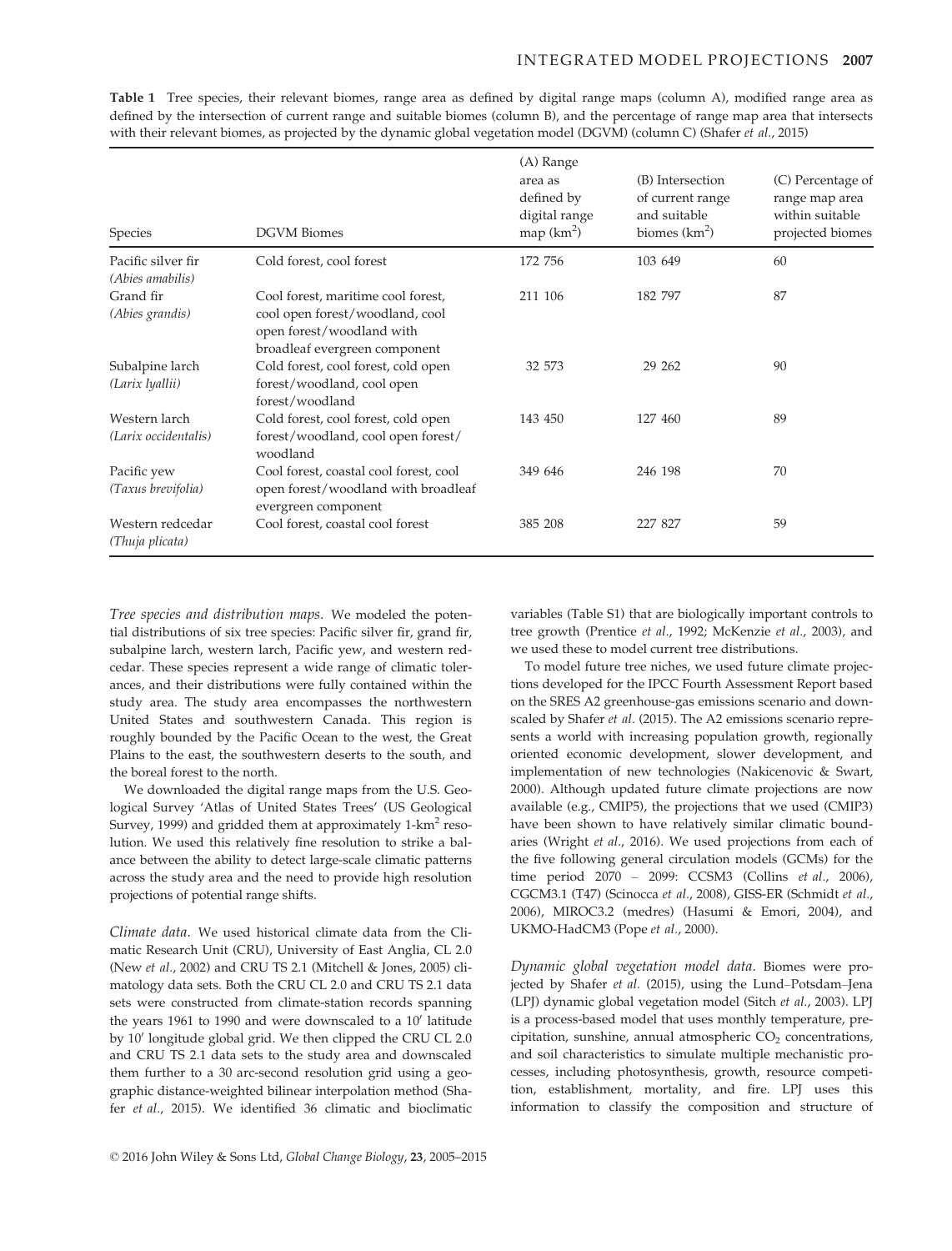Species DGVM Biomes (A) Range area as defined by digital range map (km<sup>2</sup>) (B) Intersection of current range and suitable biomes  $(km<sup>2</sup>)$ (C) Percentage of range map area within suitable projected biomes Pacific silver fir (Abies amabilis) Cold forest, cool forest 172 756 103 649 60 Grand fir (Abies grandis) Cool forest, maritime cool forest, cool open forest/woodland, cool open forest/woodland with broadleaf evergreen component 211 106 182 797 87 Subalpine larch (Larix lyallii) Cold forest, cool forest, cold open forest/woodland, cool open forest/woodland 32 573 29 262 90 Western larch (Larix occidentalis) Cold forest, cool forest, cold open forest/woodland, cool open forest/ woodland 143 450 127 460 89 Pacific yew (Taxus brevifolia) Cool forest, coastal cool forest, cool open forest/woodland with broadleaf evergreen component 349 646 246 198 70 Western redcedar (Thuja plicata) Cool forest, coastal cool forest 385 208 227 827 59

Table 1 Tree species, their relevant biomes, range area as defined by digital range maps (column A), modified range area as defined by the intersection of current range and suitable biomes (column B), and the percentage of range map area that intersects with their relevant biomes, as projected by the dynamic global vegetation model (DGVM) (column C) (Shafer et al., 2015)

Tree species and distribution maps. We modeled the potential distributions of six tree species: Pacific silver fir, grand fir, subalpine larch, western larch, Pacific yew, and western redcedar. These species represent a wide range of climatic tolerances, and their distributions were fully contained within the study area. The study area encompasses the northwestern United States and southwestern Canada. This region is roughly bounded by the Pacific Ocean to the west, the Great Plains to the east, the southwestern deserts to the south, and the boreal forest to the north.

We downloaded the digital range maps from the U.S. Geological Survey 'Atlas of United States Trees' (US Geological Survey, 1999) and gridded them at approximately  $1-km^2$  resolution. We used this relatively fine resolution to strike a balance between the ability to detect large-scale climatic patterns across the study area and the need to provide high resolution projections of potential range shifts.

Climate data. We used historical climate data from the Climatic Research Unit (CRU), University of East Anglia, CL 2.0 (New et al., 2002) and CRU TS 2.1 (Mitchell & Jones, 2005) climatology data sets. Both the CRU CL 2.0 and CRU TS 2.1 data sets were constructed from climate-station records spanning the years 1961 to 1990 and were downscaled to a  $10'$  latitude by 10' longitude global grid. We then clipped the CRU CL 2.0 and CRU TS 2.1 data sets to the study area and downscaled them further to a 30 arc-second resolution grid using a geographic distance-weighted bilinear interpolation method (Shafer et al., 2015). We identified 36 climatic and bioclimatic variables (Table S1) that are biologically important controls to tree growth (Prentice et al., 1992; McKenzie et al., 2003), and we used these to model current tree distributions.

To model future tree niches, we used future climate projections developed for the IPCC Fourth Assessment Report based on the SRES A2 greenhouse-gas emissions scenario and downscaled by Shafer et al. (2015). The A2 emissions scenario represents a world with increasing population growth, regionally oriented economic development, slower development, and implementation of new technologies (Nakicenovic & Swart, 2000). Although updated future climate projections are now available (e.g., CMIP5), the projections that we used (CMIP3) have been shown to have relatively similar climatic boundaries (Wright et al., 2016). We used projections from each of the five following general circulation models (GCMs) for the time period 2070 – 2099: CCSM3 (Collins et al., 2006), CGCM3.1 (T47) (Scinocca et al., 2008), GISS-ER (Schmidt et al., 2006), MIROC3.2 (medres) (Hasumi & Emori, 2004), and UKMO-HadCM3 (Pope et al., 2000).

Dynamic global vegetation model data. Biomes were projected by Shafer et al. (2015), using the Lund–Potsdam–Jena (LPJ) dynamic global vegetation model (Sitch et al., 2003). LPJ is a process-based model that uses monthly temperature, precipitation, sunshine, annual atmospheric  $CO<sub>2</sub>$  concentrations, and soil characteristics to simulate multiple mechanistic processes, including photosynthesis, growth, resource competition, establishment, mortality, and fire. LPJ uses this information to classify the composition and structure of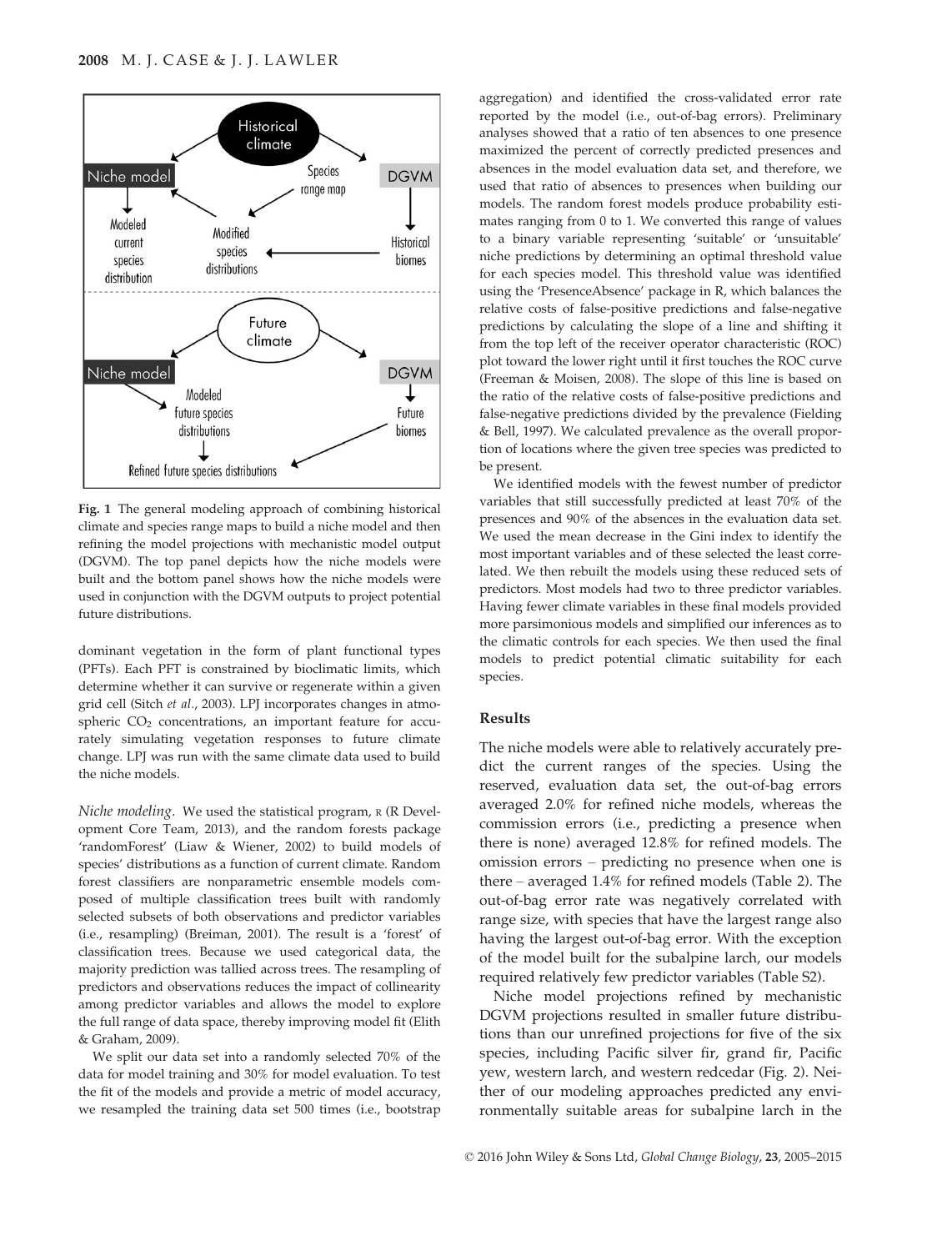

Fig. 1 The general modeling approach of combining historical climate and species range maps to build a niche model and then refining the model projections with mechanistic model output (DGVM). The top panel depicts how the niche models were built and the bottom panel shows how the niche models were used in conjunction with the DGVM outputs to project potential future distributions.

dominant vegetation in the form of plant functional types (PFTs). Each PFT is constrained by bioclimatic limits, which determine whether it can survive or regenerate within a given grid cell (Sitch et al., 2003). LPJ incorporates changes in atmospheric  $CO<sub>2</sub>$  concentrations, an important feature for accurately simulating vegetation responses to future climate change. LPJ was run with the same climate data used to build the niche models.

Niche modeling. We used the statistical program, R (R Development Core Team, 2013), and the random forests package 'randomForest' (Liaw & Wiener, 2002) to build models of species' distributions as a function of current climate. Random forest classifiers are nonparametric ensemble models composed of multiple classification trees built with randomly selected subsets of both observations and predictor variables (i.e., resampling) (Breiman, 2001). The result is a 'forest' of classification trees. Because we used categorical data, the majority prediction was tallied across trees. The resampling of predictors and observations reduces the impact of collinearity among predictor variables and allows the model to explore the full range of data space, thereby improving model fit (Elith & Graham, 2009).

We split our data set into a randomly selected 70% of the data for model training and 30% for model evaluation. To test the fit of the models and provide a metric of model accuracy, we resampled the training data set 500 times (i.e., bootstrap aggregation) and identified the cross-validated error rate reported by the model (i.e., out-of-bag errors). Preliminary analyses showed that a ratio of ten absences to one presence maximized the percent of correctly predicted presences and absences in the model evaluation data set, and therefore, we used that ratio of absences to presences when building our models. The random forest models produce probability estimates ranging from 0 to 1. We converted this range of values to a binary variable representing 'suitable' or 'unsuitable' niche predictions by determining an optimal threshold value for each species model. This threshold value was identified using the 'PresenceAbsence' package in R, which balances the relative costs of false-positive predictions and false-negative predictions by calculating the slope of a line and shifting it from the top left of the receiver operator characteristic (ROC) plot toward the lower right until it first touches the ROC curve (Freeman & Moisen, 2008). The slope of this line is based on the ratio of the relative costs of false-positive predictions and false-negative predictions divided by the prevalence (Fielding & Bell, 1997). We calculated prevalence as the overall proportion of locations where the given tree species was predicted to be present.

We identified models with the fewest number of predictor variables that still successfully predicted at least 70% of the presences and 90% of the absences in the evaluation data set. We used the mean decrease in the Gini index to identify the most important variables and of these selected the least correlated. We then rebuilt the models using these reduced sets of predictors. Most models had two to three predictor variables. Having fewer climate variables in these final models provided more parsimonious models and simplified our inferences as to the climatic controls for each species. We then used the final models to predict potential climatic suitability for each species.

#### Results

The niche models were able to relatively accurately predict the current ranges of the species. Using the reserved, evaluation data set, the out-of-bag errors averaged 2.0% for refined niche models, whereas the commission errors (i.e., predicting a presence when there is none) averaged 12.8% for refined models. The omission errors – predicting no presence when one is there – averaged 1.4% for refined models (Table 2). The out-of-bag error rate was negatively correlated with range size, with species that have the largest range also having the largest out-of-bag error. With the exception of the model built for the subalpine larch, our models required relatively few predictor variables (Table S2).

Niche model projections refined by mechanistic DGVM projections resulted in smaller future distributions than our unrefined projections for five of the six species, including Pacific silver fir, grand fir, Pacific yew, western larch, and western redcedar (Fig. 2). Neither of our modeling approaches predicted any environmentally suitable areas for subalpine larch in the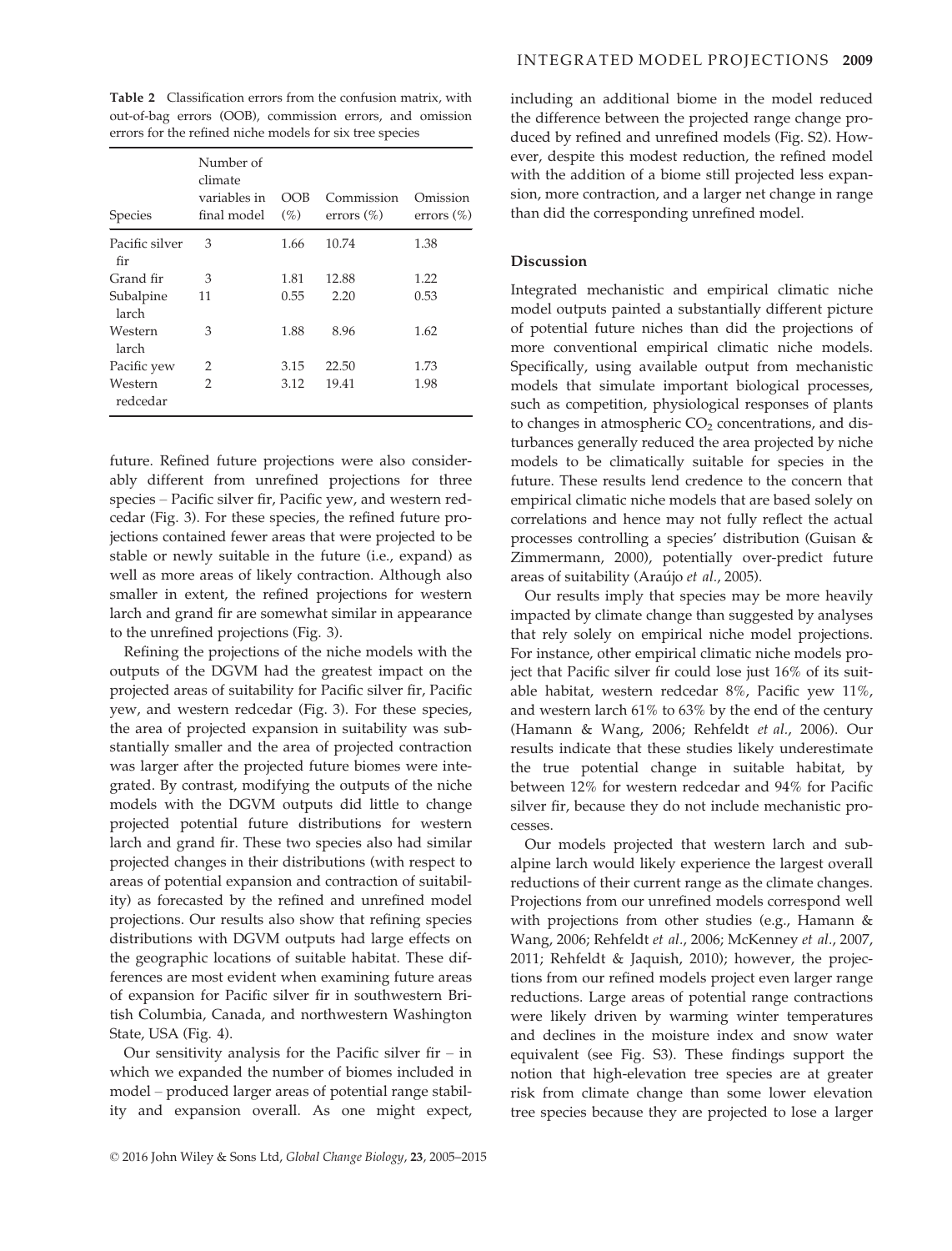Table 2 Classification errors from the confusion matrix, with out-of-bag errors (OOB), commission errors, and omission errors for the refined niche models for six tree species

| Species               | Number of<br>climate<br>variables in<br>final model | OOB<br>$(\% )$ | Commission<br>errors $(\%)$ | Omission<br>errors $(\%)$ |
|-----------------------|-----------------------------------------------------|----------------|-----------------------------|---------------------------|
| Pacific silver<br>fir | 3                                                   | 1.66           | 10.74                       | 1.38                      |
| Grand fir             | 3                                                   | 1.81           | 12.88                       | 1.22                      |
| Subalpine<br>larch    | 11                                                  | 0.55           | 2.20                        | 0.53                      |
| Western<br>larch      | 3                                                   | 1.88           | 8.96                        | 1.62                      |
| Pacific yew           | 2                                                   | 3.15           | 22.50                       | 1.73                      |
| Western<br>redcedar   | 2                                                   | 3.12           | 19.41                       | 1.98                      |

future. Refined future projections were also considerably different from unrefined projections for three species – Pacific silver fir, Pacific yew, and western redcedar (Fig. 3). For these species, the refined future projections contained fewer areas that were projected to be stable or newly suitable in the future (i.e., expand) as well as more areas of likely contraction. Although also smaller in extent, the refined projections for western larch and grand fir are somewhat similar in appearance to the unrefined projections (Fig. 3).

Refining the projections of the niche models with the outputs of the DGVM had the greatest impact on the projected areas of suitability for Pacific silver fir, Pacific yew, and western redcedar (Fig. 3). For these species, the area of projected expansion in suitability was substantially smaller and the area of projected contraction was larger after the projected future biomes were integrated. By contrast, modifying the outputs of the niche models with the DGVM outputs did little to change projected potential future distributions for western larch and grand fir. These two species also had similar projected changes in their distributions (with respect to areas of potential expansion and contraction of suitability) as forecasted by the refined and unrefined model projections. Our results also show that refining species distributions with DGVM outputs had large effects on the geographic locations of suitable habitat. These differences are most evident when examining future areas of expansion for Pacific silver fir in southwestern British Columbia, Canada, and northwestern Washington State, USA (Fig. 4).

Our sensitivity analysis for the Pacific silver fir – in which we expanded the number of biomes included in model – produced larger areas of potential range stability and expansion overall. As one might expect, including an additional biome in the model reduced the difference between the projected range change produced by refined and unrefined models (Fig. S2). However, despite this modest reduction, the refined model with the addition of a biome still projected less expansion, more contraction, and a larger net change in range than did the corresponding unrefined model.

#### Discussion

Integrated mechanistic and empirical climatic niche model outputs painted a substantially different picture of potential future niches than did the projections of more conventional empirical climatic niche models. Specifically, using available output from mechanistic models that simulate important biological processes, such as competition, physiological responses of plants to changes in atmospheric  $CO<sub>2</sub>$  concentrations, and disturbances generally reduced the area projected by niche models to be climatically suitable for species in the future. These results lend credence to the concern that empirical climatic niche models that are based solely on correlations and hence may not fully reflect the actual processes controlling a species' distribution (Guisan & Zimmermann, 2000), potentially over-predict future areas of suitability (Araújo et al., 2005).

Our results imply that species may be more heavily impacted by climate change than suggested by analyses that rely solely on empirical niche model projections. For instance, other empirical climatic niche models project that Pacific silver fir could lose just 16% of its suitable habitat, western redcedar 8%, Pacific yew 11%, and western larch 61% to 63% by the end of the century (Hamann & Wang, 2006; Rehfeldt et al., 2006). Our results indicate that these studies likely underestimate the true potential change in suitable habitat, by between 12% for western redcedar and 94% for Pacific silver fir, because they do not include mechanistic processes.

Our models projected that western larch and subalpine larch would likely experience the largest overall reductions of their current range as the climate changes. Projections from our unrefined models correspond well with projections from other studies (e.g., Hamann & Wang, 2006; Rehfeldt et al., 2006; McKenney et al., 2007, 2011; Rehfeldt & Jaquish, 2010); however, the projections from our refined models project even larger range reductions. Large areas of potential range contractions were likely driven by warming winter temperatures and declines in the moisture index and snow water equivalent (see Fig. S3). These findings support the notion that high-elevation tree species are at greater risk from climate change than some lower elevation tree species because they are projected to lose a larger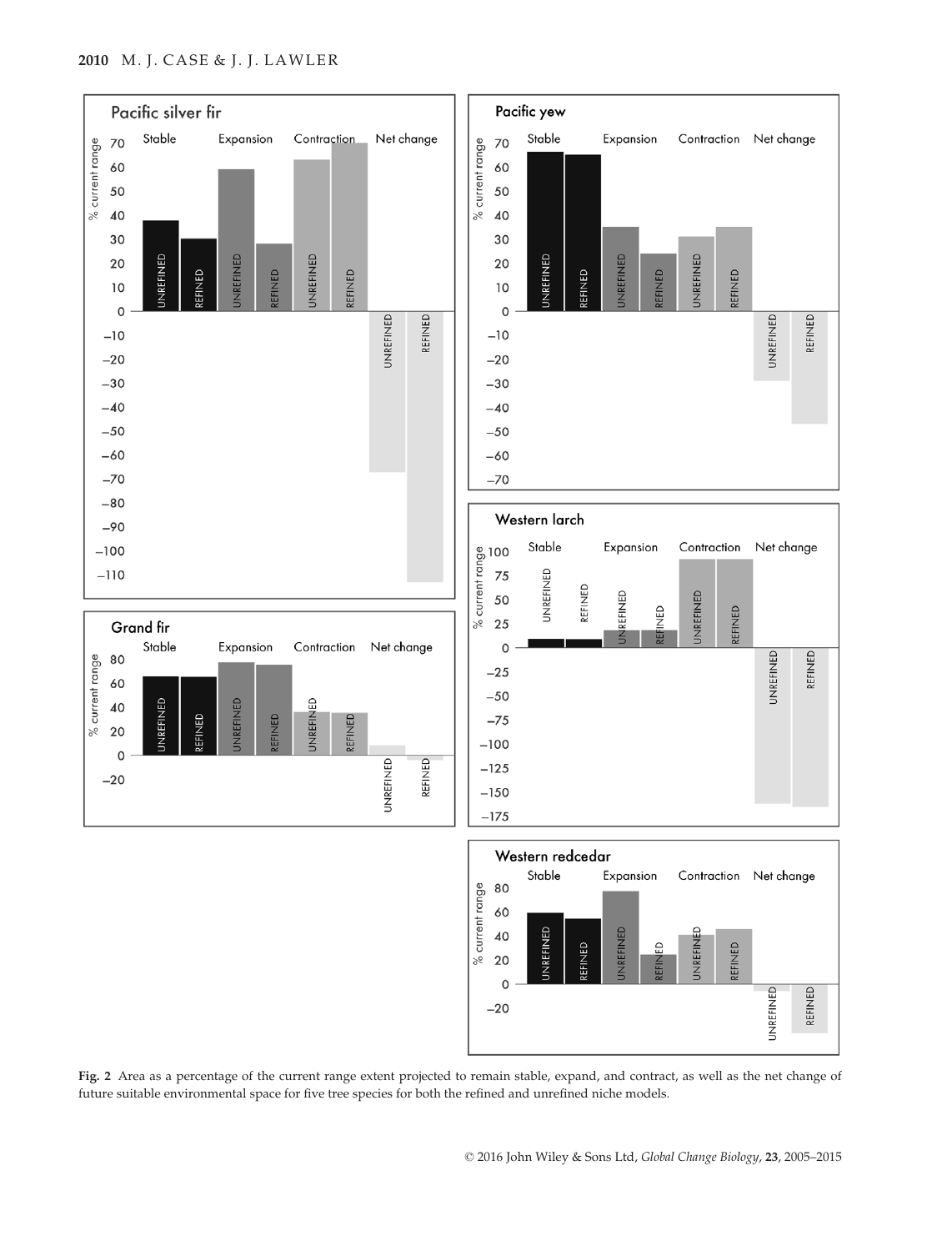

Fig. 2 Area as a percentage of the current range extent projected to remain stable, expand, and contract, as well as the net change of future suitable environmental space for five tree species for both the refined and unrefined niche models.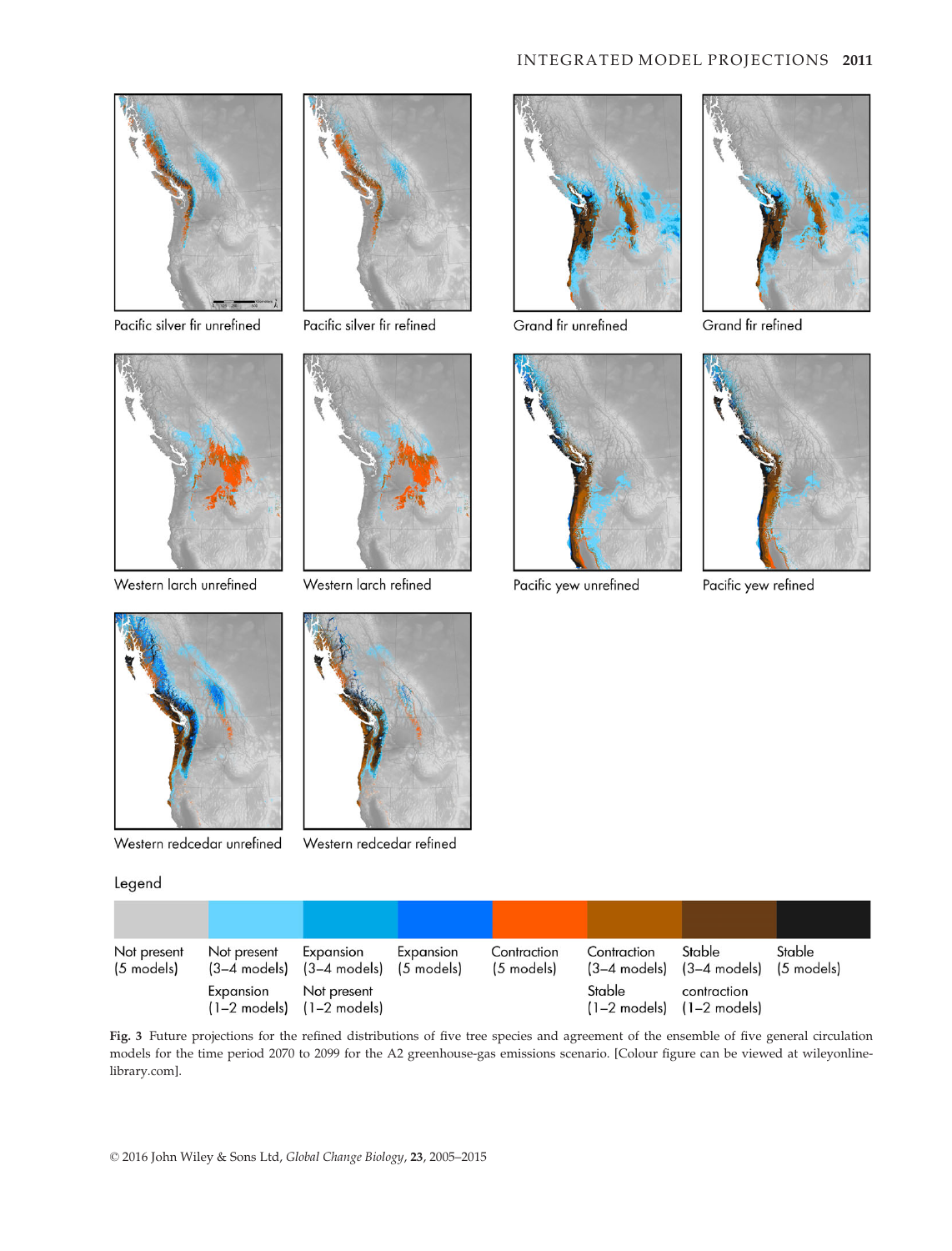

Pacific silver fir unrefined



Western larch unrefined



Western redcedar unrefined

## Legend



Pacific silver fir refined



Western larch refined



Western redcedar refined



Grand fir unrefined



Pacific yew unrefined



Grand fir refined



Pacific yew refined

| Not present<br>(5 models) | Not present<br>Expansion<br>$(1-2$ models) $(1-2$ models) | Expansion<br>$(3-4$ models) $(3-4$ models) $(5$ models)<br>Not present | Expansion | Contraction<br>(5 models) | Contraction<br>(3–4 models) (3–4 models)<br>Stable<br>$(1-2$ models) $(1-2$ models) | Stable<br>contraction | Stable<br>(5 models) |
|---------------------------|-----------------------------------------------------------|------------------------------------------------------------------------|-----------|---------------------------|-------------------------------------------------------------------------------------|-----------------------|----------------------|

Fig. 3 Future projections for the refined distributions of five tree species and agreement of the ensemble of five general circulation models for the time period 2070 to 2099 for the A2 greenhouse-gas emissions scenario. [Colour figure can be viewed at wileyonlinelibrary.com].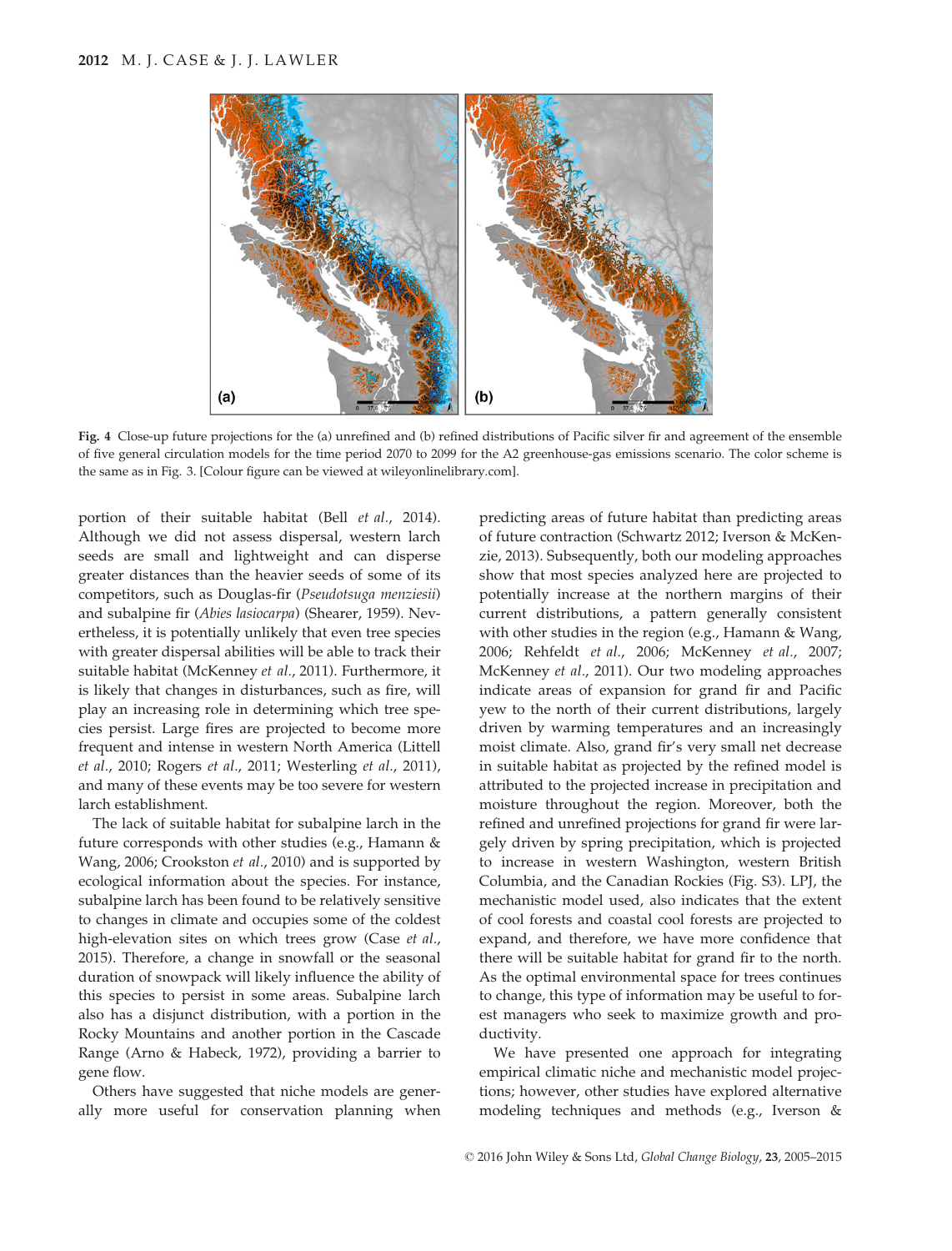

Fig. 4 Close-up future projections for the (a) unrefined and (b) refined distributions of Pacific silver fir and agreement of the ensemble of five general circulation models for the time period 2070 to 2099 for the A2 greenhouse-gas emissions scenario. The color scheme is the same as in Fig. 3. [Colour figure can be viewed at wileyonlinelibrary.com].

portion of their suitable habitat (Bell et al., 2014). Although we did not assess dispersal, western larch seeds are small and lightweight and can disperse greater distances than the heavier seeds of some of its competitors, such as Douglas-fir (Pseudotsuga menziesii) and subalpine fir (Abies lasiocarpa) (Shearer, 1959). Nevertheless, it is potentially unlikely that even tree species with greater dispersal abilities will be able to track their suitable habitat (McKenney et al., 2011). Furthermore, it is likely that changes in disturbances, such as fire, will play an increasing role in determining which tree species persist. Large fires are projected to become more frequent and intense in western North America (Littell et al., 2010; Rogers et al., 2011; Westerling et al., 2011), and many of these events may be too severe for western larch establishment.

The lack of suitable habitat for subalpine larch in the future corresponds with other studies (e.g., Hamann  $&$ Wang, 2006; Crookston et al., 2010) and is supported by ecological information about the species. For instance, subalpine larch has been found to be relatively sensitive to changes in climate and occupies some of the coldest high-elevation sites on which trees grow (Case et al., 2015). Therefore, a change in snowfall or the seasonal duration of snowpack will likely influence the ability of this species to persist in some areas. Subalpine larch also has a disjunct distribution, with a portion in the Rocky Mountains and another portion in the Cascade Range (Arno & Habeck, 1972), providing a barrier to gene flow.

Others have suggested that niche models are generally more useful for conservation planning when predicting areas of future habitat than predicting areas of future contraction (Schwartz 2012; Iverson & McKenzie, 2013). Subsequently, both our modeling approaches show that most species analyzed here are projected to potentially increase at the northern margins of their current distributions, a pattern generally consistent with other studies in the region (e.g., Hamann & Wang, 2006; Rehfeldt et al., 2006; McKenney et al., 2007; McKenney et al., 2011). Our two modeling approaches indicate areas of expansion for grand fir and Pacific yew to the north of their current distributions, largely driven by warming temperatures and an increasingly moist climate. Also, grand fir's very small net decrease in suitable habitat as projected by the refined model is attributed to the projected increase in precipitation and moisture throughout the region. Moreover, both the refined and unrefined projections for grand fir were largely driven by spring precipitation, which is projected to increase in western Washington, western British Columbia, and the Canadian Rockies (Fig. S3). LPJ, the mechanistic model used, also indicates that the extent of cool forests and coastal cool forests are projected to expand, and therefore, we have more confidence that there will be suitable habitat for grand fir to the north. As the optimal environmental space for trees continues to change, this type of information may be useful to forest managers who seek to maximize growth and productivity.

We have presented one approach for integrating empirical climatic niche and mechanistic model projections; however, other studies have explored alternative modeling techniques and methods (e.g., Iverson &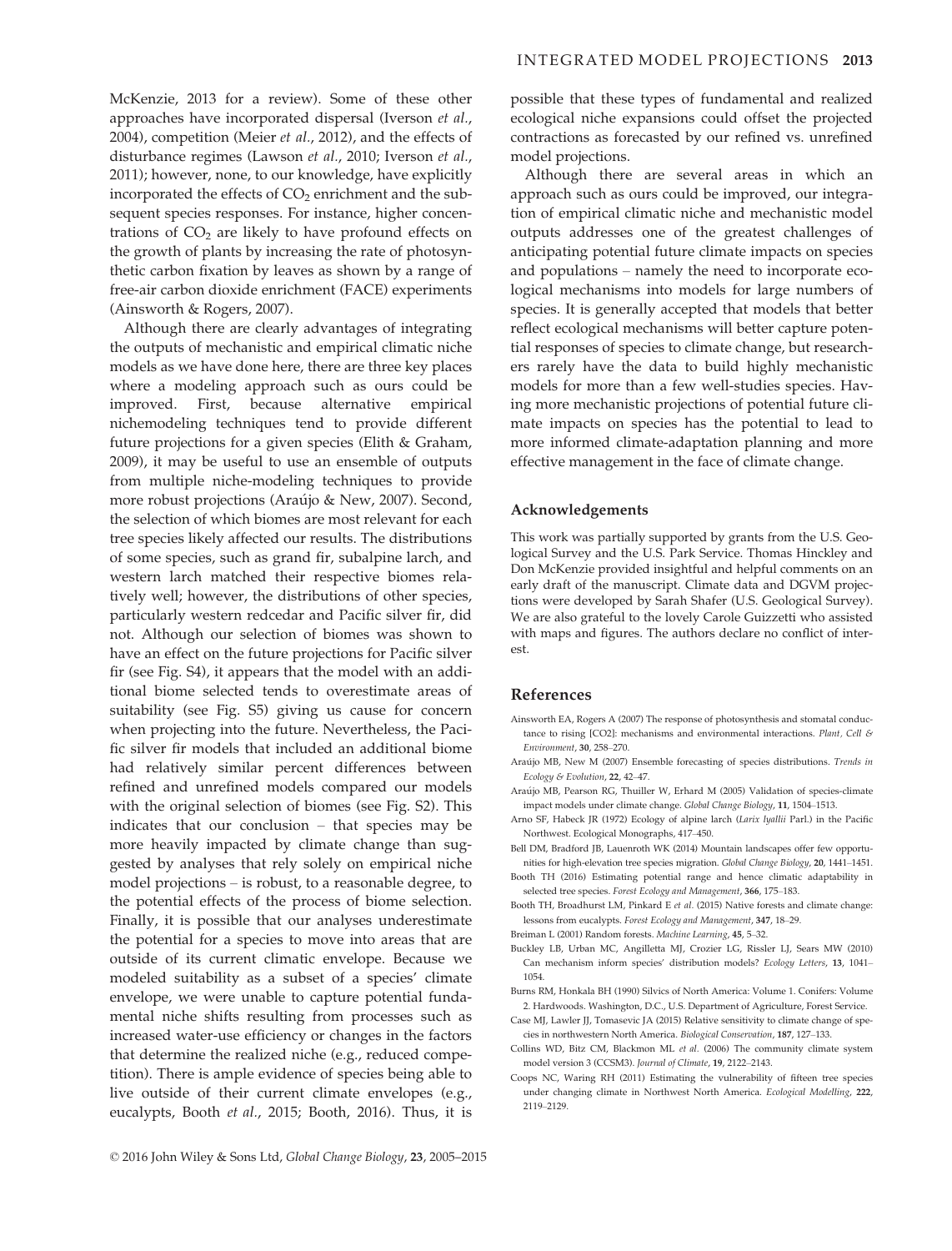McKenzie, 2013 for a review). Some of these other approaches have incorporated dispersal (Iverson et al., 2004), competition (Meier et al., 2012), and the effects of disturbance regimes (Lawson et al., 2010; Iverson et al., 2011); however, none, to our knowledge, have explicitly incorporated the effects of  $CO<sub>2</sub>$  enrichment and the subsequent species responses. For instance, higher concentrations of  $CO<sub>2</sub>$  are likely to have profound effects on the growth of plants by increasing the rate of photosynthetic carbon fixation by leaves as shown by a range of free-air carbon dioxide enrichment (FACE) experiments (Ainsworth & Rogers, 2007).

Although there are clearly advantages of integrating the outputs of mechanistic and empirical climatic niche models as we have done here, there are three key places where a modeling approach such as ours could be improved. First, because alternative empirical nichemodeling techniques tend to provide different future projections for a given species (Elith & Graham, 2009), it may be useful to use an ensemble of outputs from multiple niche-modeling techniques to provide more robust projections (Araújo & New, 2007). Second, the selection of which biomes are most relevant for each tree species likely affected our results. The distributions of some species, such as grand fir, subalpine larch, and western larch matched their respective biomes relatively well; however, the distributions of other species, particularly western redcedar and Pacific silver fir, did not. Although our selection of biomes was shown to have an effect on the future projections for Pacific silver fir (see Fig. S4), it appears that the model with an additional biome selected tends to overestimate areas of suitability (see Fig. S5) giving us cause for concern when projecting into the future. Nevertheless, the Pacific silver fir models that included an additional biome had relatively similar percent differences between refined and unrefined models compared our models with the original selection of biomes (see Fig. S2). This indicates that our conclusion – that species may be more heavily impacted by climate change than suggested by analyses that rely solely on empirical niche model projections – is robust, to a reasonable degree, to the potential effects of the process of biome selection. Finally, it is possible that our analyses underestimate the potential for a species to move into areas that are outside of its current climatic envelope. Because we modeled suitability as a subset of a species' climate envelope, we were unable to capture potential fundamental niche shifts resulting from processes such as increased water-use efficiency or changes in the factors that determine the realized niche (e.g., reduced competition). There is ample evidence of species being able to live outside of their current climate envelopes (e.g., eucalypts, Booth et al., 2015; Booth, 2016). Thus, it is

possible that these types of fundamental and realized ecological niche expansions could offset the projected contractions as forecasted by our refined vs. unrefined model projections.

Although there are several areas in which an approach such as ours could be improved, our integration of empirical climatic niche and mechanistic model outputs addresses one of the greatest challenges of anticipating potential future climate impacts on species and populations – namely the need to incorporate ecological mechanisms into models for large numbers of species. It is generally accepted that models that better reflect ecological mechanisms will better capture potential responses of species to climate change, but researchers rarely have the data to build highly mechanistic models for more than a few well-studies species. Having more mechanistic projections of potential future climate impacts on species has the potential to lead to more informed climate-adaptation planning and more effective management in the face of climate change.

#### Acknowledgements

This work was partially supported by grants from the U.S. Geological Survey and the U.S. Park Service. Thomas Hinckley and Don McKenzie provided insightful and helpful comments on an early draft of the manuscript. Climate data and DGVM projections were developed by Sarah Shafer (U.S. Geological Survey). We are also grateful to the lovely Carole Guizzetti who assisted with maps and figures. The authors declare no conflict of interest.

#### References

- Ainsworth EA, Rogers A (2007) The response of photosynthesis and stomatal conductance to rising [CO2]: mechanisms and environmental interactions. Plant, Cell & Environment, 30, 258–270.
- Araujo MB, New M (2007) Ensemble forecasting of species distributions. Trends in Ecology & Evolution, 22, 42–47.
- Araujo MB, Pearson RG, Thuiller W, Erhard M (2005) Validation of species-climate impact models under climate change. Global Change Biology, 11, 1504–1513.
- Arno SF, Habeck JR (1972) Ecology of alpine larch (Larix lyallii Parl.) in the Pacific Northwest. Ecological Monographs, 417–450.
- Bell DM, Bradford JB, Lauenroth WK (2014) Mountain landscapes offer few opportunities for high-elevation tree species migration. Global Change Biology, 20, 1441–1451.
- Booth TH (2016) Estimating potential range and hence climatic adaptability in selected tree species. Forest Ecology and Management, 366, 175-183.
- Booth TH, Broadhurst LM, Pinkard E et al. (2015) Native forests and climate change: lessons from eucalypts. Forest Ecology and Management, 347, 18–29.
- Breiman L (2001) Random forests. Machine Learning, 45, 5–32.
- Buckley LB, Urban MC, Angilletta MJ, Crozier LG, Rissler LJ, Sears MW (2010) Can mechanism inform species' distribution models? Ecology Letters, 13, 1041– 1054.
- Burns RM, Honkala BH (1990) Silvics of North America: Volume 1. Conifers: Volume 2. Hardwoods. Washington, D.C., U.S. Department of Agriculture, Forest Service.
- Case MJ, Lawler JJ, Tomasevic JA (2015) Relative sensitivity to climate change of species in northwestern North America. Biological Conservation, 187, 127–133.
- Collins WD, Bitz CM, Blackmon ML et al. (2006) The community climate system model version 3 (CCSM3). Journal of Climate, 19, 2122–2143.
- Coops NC, Waring RH (2011) Estimating the vulnerability of fifteen tree species under changing climate in Northwest North America. Ecological Modelling, 222, 2119–2129.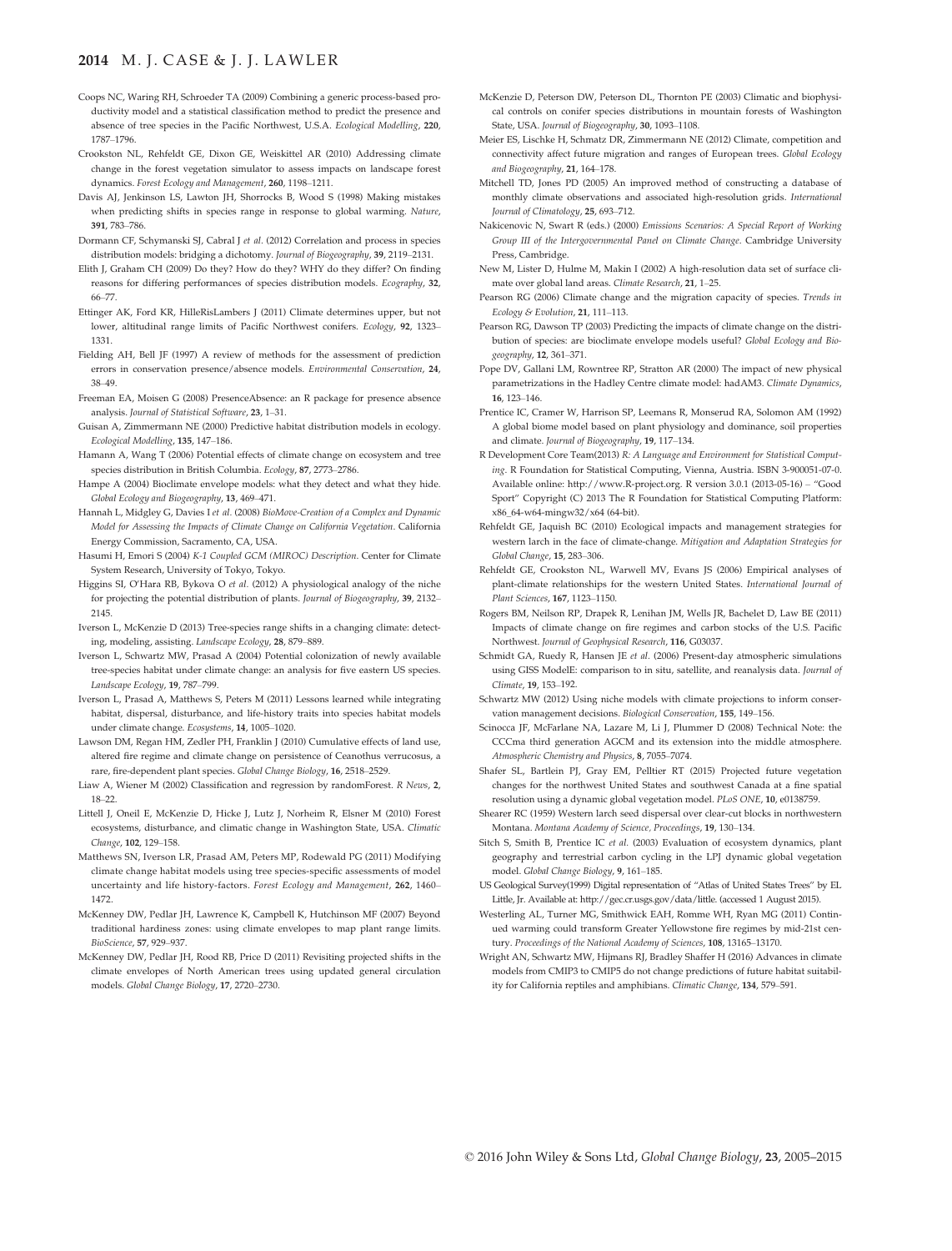#### 2014 M. J. CASE & J. J. LAWLER

- Coops NC, Waring RH, Schroeder TA (2009) Combining a generic process-based productivity model and a statistical classification method to predict the presence and absence of tree species in the Pacific Northwest, U.S.A. Ecological Modelling, 220, 1787–1796.
- Crookston NL, Rehfeldt GE, Dixon GE, Weiskittel AR (2010) Addressing climate change in the forest vegetation simulator to assess impacts on landscape forest dynamics. Forest Ecology and Management, 260, 1198–1211.
- Davis AJ, Jenkinson LS, Lawton JH, Shorrocks B, Wood S (1998) Making mistakes when predicting shifts in species range in response to global warming. Nature, 391, 783–786.
- Dormann CF, Schymanski SJ, Cabral J et al. (2012) Correlation and process in species distribution models: bridging a dichotomy. Journal of Biogeography, 39, 2119–2131.
- Elith J, Graham CH (2009) Do they? How do they? WHY do they differ? On finding reasons for differing performances of species distribution models. Ecography, 32, 66–77.
- Ettinger AK, Ford KR, HilleRisLambers J (2011) Climate determines upper, but not lower, altitudinal range limits of Pacific Northwest conifers. Ecology, 92, 1323-1331.
- Fielding AH, Bell JF (1997) A review of methods for the assessment of prediction errors in conservation presence/absence models. Environmental Conservation, 24, 38–49.
- Freeman EA, Moisen G (2008) PresenceAbsence: an R package for presence absence analysis. Journal of Statistical Software, 23, 1–31.
- Guisan A, Zimmermann NE (2000) Predictive habitat distribution models in ecology. Ecological Modelling, 135, 147–186.
- Hamann A, Wang T (2006) Potential effects of climate change on ecosystem and tree species distribution in British Columbia. Ecology, 87, 2773–2786.
- Hampe A (2004) Bioclimate envelope models: what they detect and what they hide. Global Ecology and Biogeography, 13, 469–471.
- Hannah L, Midgley G, Davies I et al. (2008) BioMove-Creation of a Complex and Dynamic Model for Assessing the Impacts of Climate Change on California Vegetation. California Energy Commission, Sacramento, CA, USA.
- Hasumi H, Emori S (2004) K-1 Coupled GCM (MIROC) Description. Center for Climate System Research, University of Tokyo, Tokyo.
- Higgins SI, O'Hara RB, Bykova O et al. (2012) A physiological analogy of the niche for projecting the potential distribution of plants. Journal of Biogeography, 39, 2132– 2145.
- Iverson L, McKenzie D (2013) Tree-species range shifts in a changing climate: detecting, modeling, assisting. Landscape Ecology, 28, 879–889.
- Iverson L, Schwartz MW, Prasad A (2004) Potential colonization of newly available tree-species habitat under climate change: an analysis for five eastern US species. Landscape Ecology, 19, 787–799.
- Iverson L, Prasad A, Matthews S, Peters M (2011) Lessons learned while integrating habitat, dispersal, disturbance, and life-history traits into species habitat models under climate change. Ecosystems, 14, 1005–1020.
- Lawson DM, Regan HM, Zedler PH, Franklin J (2010) Cumulative effects of land use, altered fire regime and climate change on persistence of Ceanothus verrucosus, a rare, fire-dependent plant species. Global Change Biology, 16, 2518–2529.
- Liaw A, Wiener M (2002) Classification and regression by randomForest. R News, 2, 18–22.
- Littell J, Oneil E, McKenzie D, Hicke J, Lutz J, Norheim R, Elsner M (2010) Forest ecosystems, disturbance, and climatic change in Washington State, USA. Climatic Change, 102, 129–158.
- Matthews SN, Iverson LR, Prasad AM, Peters MP, Rodewald PG (2011) Modifying climate change habitat models using tree species-specific assessments of model uncertainty and life history-factors. Forest Ecology and Management, 262, 1460– 1472.
- McKenney DW, Pedlar JH, Lawrence K, Campbell K, Hutchinson MF (2007) Beyond traditional hardiness zones: using climate envelopes to map plant range limits. BioScience, 57, 929–937.
- McKenney DW, Pedlar JH, Rood RB, Price D (2011) Revisiting projected shifts in the climate envelopes of North American trees using updated general circulation models. Global Change Biology, 17, 2720–2730.
- McKenzie D, Peterson DW, Peterson DL, Thornton PE (2003) Climatic and biophysical controls on conifer species distributions in mountain forests of Washington State, USA. Journal of Biogeography, 30, 1093–1108.
- Meier ES, Lischke H, Schmatz DR, Zimmermann NE (2012) Climate, competition and connectivity affect future migration and ranges of European trees. Global Ecology and Biogeography, 21, 164–178.
- Mitchell TD, Jones PD (2005) An improved method of constructing a database of monthly climate observations and associated high-resolution grids. International Journal of Climatology, 25, 693–712.
- Nakicenovic N, Swart R (eds.) (2000) Emissions Scenarios: A Special Report of Working Group III of the Intergovernmental Panel on Climate Change. Cambridge University Press, Cambridge.
- New M, Lister D, Hulme M, Makin I (2002) A high-resolution data set of surface climate over global land areas. Climate Research, 21, 1–25.
- Pearson RG (2006) Climate change and the migration capacity of species. Trends in Ecology & Evolution, 21, 111–113.
- Pearson RG, Dawson TP (2003) Predicting the impacts of climate change on the distribution of species: are bioclimate envelope models useful? Global Ecology and Biogeography, 12, 361–371.
- Pope DV, Gallani LM, Rowntree RP, Stratton AR (2000) The impact of new physical parametrizations in the Hadley Centre climate model: hadAM3. Climate Dynamics, 16, 123–146.
- Prentice IC, Cramer W, Harrison SP, Leemans R, Monserud RA, Solomon AM (1992) A global biome model based on plant physiology and dominance, soil properties and climate. Journal of Biogeography, 19, 117–134.
- R Development Core Team(2013) R: A Language and Environment for Statistical Computing. R Foundation for Statistical Computing, Vienna, Austria. ISBN 3-900051-07-0. Available online: [http://www.R-project.org.](https://egeanet.vjf.inserm.fr) R version 3.0.1 (2013-05-16) – "Good Sport" Copyright (C) 2013 The R Foundation for Statistical Computing Platform: x86\_64-w64-mingw32/x64 (64-bit).
- Rehfeldt GE, Jaquish BC (2010) Ecological impacts and management strategies for western larch in the face of climate-change. Mitigation and Adaptation Strategies for Global Change, 15, 283–306.
- Rehfeldt GE, Crookston NL, Warwell MV, Evans JS (2006) Empirical analyses of plant-climate relationships for the western United States. International Journal of Plant Sciences, 167, 1123–1150.
- Rogers BM, Neilson RP, Drapek R, Lenihan JM, Wells JR, Bachelet D, Law BE (2011) Impacts of climate change on fire regimes and carbon stocks of the U.S. Pacific Northwest. Journal of Geophysical Research, 116, G03037.
- Schmidt GA, Ruedy R, Hansen JE et al. (2006) Present-day atmospheric simulations using GISS ModelE: comparison to in situ, satellite, and reanalysis data. Journal of Climate, 19, 153–192.
- Schwartz MW (2012) Using niche models with climate projections to inform conservation management decisions. Biological Conservation, 155, 149–156.
- Scinocca JF, McFarlane NA, Lazare M, Li J, Plummer D (2008) Technical Note: the CCCma third generation AGCM and its extension into the middle atmosphere. Atmospheric Chemistry and Physics, 8, 7055–7074.
- Shafer SL, Bartlein PJ, Gray EM, Pelltier RT (2015) Projected future vegetation changes for the northwest United States and southwest Canada at a fine spatial resolution using a dynamic global vegetation model. PLoS ONE, 10, e0138759.
- Shearer RC (1959) Western larch seed dispersal over clear-cut blocks in northwestern Montana. Montana Academy of Science, Proceedings, 19, 130–134.
- Sitch S, Smith B, Prentice IC et al. (2003) Evaluation of ecosystem dynamics, plant geography and terrestrial carbon cycling in the LPJ dynamic global vegetation model. Global Change Biology, 9, 161–185.
- US Geological Survey(1999) Digital representation of "Atlas of United States Trees" by EL Little, Jr. Available at: [http://gec.cr.usgs.gov/data/little](https://egeanet.vjf.inserm.fr). (accessed 1 August 2015).
- Westerling AL, Turner MG, Smithwick EAH, Romme WH, Ryan MG (2011) Continued warming could transform Greater Yellowstone fire regimes by mid-21st century. Proceedings of the National Academy of Sciences, 108, 13165–13170.
- Wright AN, Schwartz MW, Hijmans RJ, Bradley Shaffer H (2016) Advances in climate models from CMIP3 to CMIP5 do not change predictions of future habitat suitability for California reptiles and amphibians. Climatic Change, 134, 579–591.